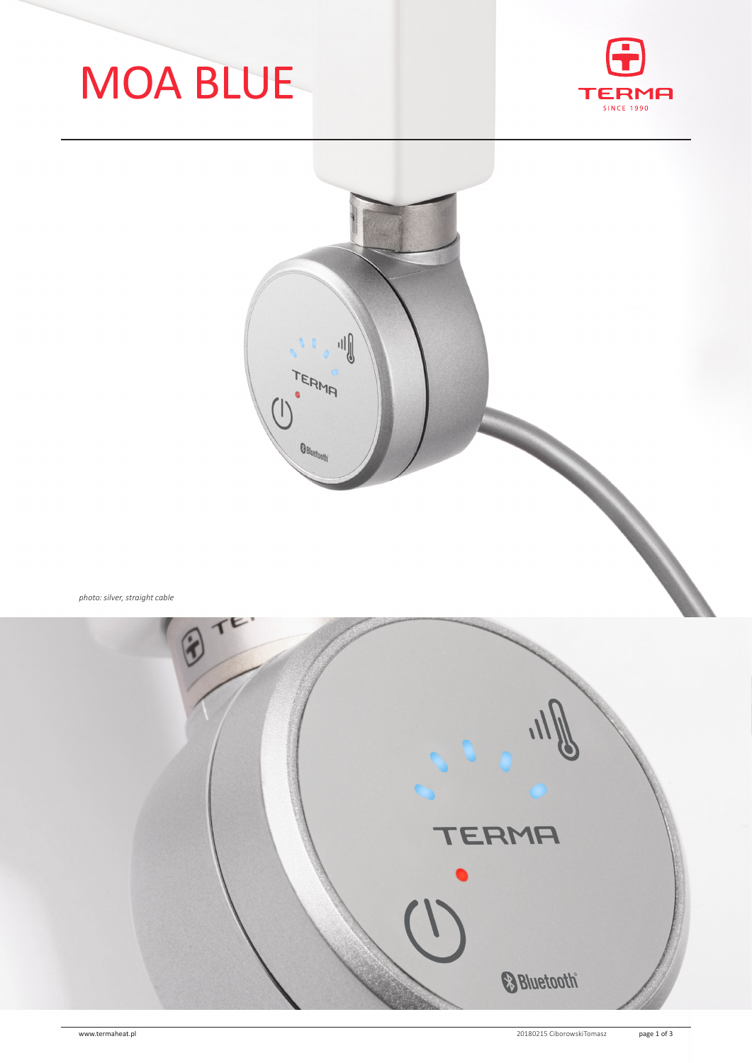# MOA BLUE





*photo: silver, straight cable*

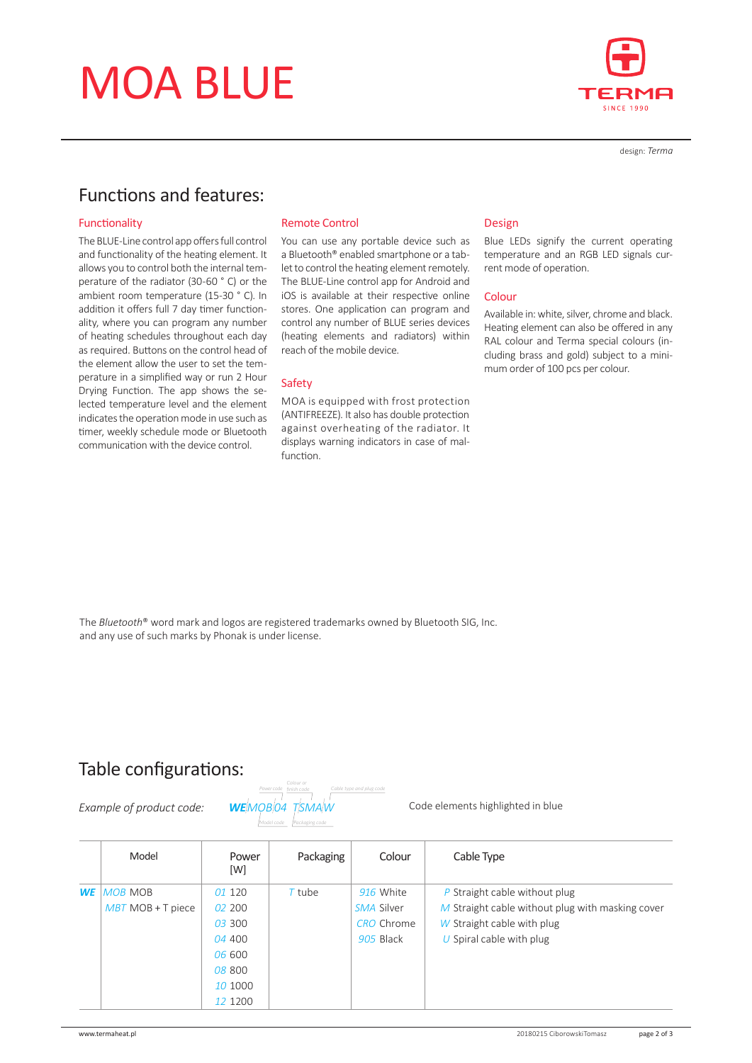## MOA BLUE



design: *Terma*

### Functions and features:

#### Functionality

The BLUE-Line control app offers full control and functionality of the heating element. It allows you to control both the internal temperature of the radiator (30-60 ° C) or the ambient room temperature (15-30 ° C). In addition it offers full 7 day timer functionality, where you can program any number of heating schedules throughout each day as required. Buttons on the control head of the element allow the user to set the temperature in a simplified way or run 2 Hour Drying Function. The app shows the selected temperature level and the element indicates the operation mode in use such as timer, weekly schedule mode or Bluetooth communication with the device control.

#### Remote Control

You can use any portable device such as a Bluetooth® enabled smartphone or a tablet to control the heating element remotely. The BLUE-Line control app for Android and iOS is available at their respective online stores. One application can program and control any number of BLUE series devices (heating elements and radiators) within reach of the mobile device.

#### Safety

MOA is equipped with frost protection (ANTIFREEZE). It also has double protection against overheating of the radiator. It displays warning indicators in case of malfunction.

#### Design

Blue LEDs signify the current operating temperature and an RGB LED signals current mode of operation.

#### Colour

Available in: white, silver, chrome and black. Heating element can also be offered in any RAL colour and Terma special colours (including brass and gold) subject to a minimum order of 100 pcs per colour.

The *Bluetooth*® word mark and logos are registered trademarks owned by Bluetooth SIG, Inc. and any use of such marks by Phonak is under license.

### Table configurations:

*Example of product code: WE MOB  04 T SMA W*

*Model code Packaging code Power code finish code Cable type and plug code*

Code elements highlighted in blue

|           | Model               | Power<br>[W] | Packaging | Colour            | Cable Type                                       |
|-----------|---------------------|--------------|-----------|-------------------|--------------------------------------------------|
| <b>WE</b> | <b>MOB MOB</b>      | 01 120       | $T$ tube  | 916 White         | $P$ Straight cable without plug                  |
|           | $MBT$ MOB + T piece | 02 200       |           | SMA Silver        | M Straight cable without plug with masking cover |
|           |                     | 03 300       |           | <b>CRO</b> Chrome | W Straight cable with plug                       |
|           |                     | 04 400       |           | 905 Black         | $U$ Spiral cable with plug                       |
|           |                     | 06 600       |           |                   |                                                  |
|           |                     | 08 800       |           |                   |                                                  |
|           |                     | 10 1000      |           |                   |                                                  |
|           |                     | 12 1200      |           |                   |                                                  |